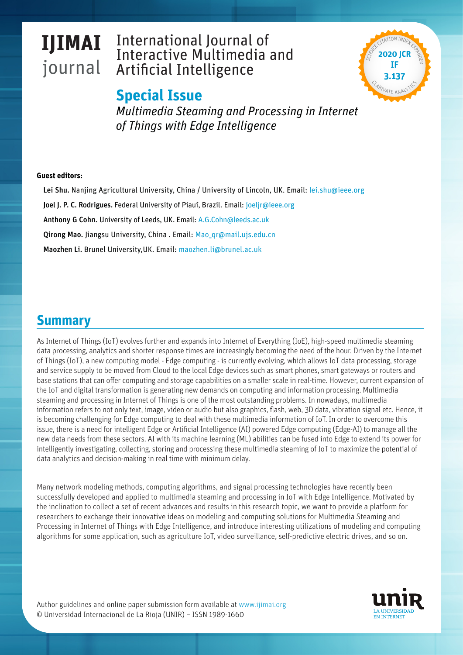#### **IJIMAI** journal International Journal of Interactive Multimedia and Artificial Intelligenc **IJIMAI** journal International Journal of Interactive Multimedia and Artificial Intelligence





*Nombre* **Eds.:** Nombre, Nombre, Nombre *Multimedia Steaming and Processing in Internet of Things with Edge Intelligence*

### **Guest editors:**

**About the Special Issue** Lei Shu. Nanjing Agricultural University, China / University of Lincoln, UK. Email: [lei.shu@ieee.org](mailto:lei.shu%40ieee.org?subject=IJIMAI.%20Special%20Issue%20Multimedia%20Steaming%20and%20Processing%20in%20Internet%20of%20Things%20with%20Edge%20Intelligence) **Joel J. P. C. Rodrigues.** Federal University of Piauí, Brazil. Email: [joeljr@ieee.org](mailto:joeljr%40ieee.org?subject=IJIMAI.%20Special%20Issue%20Multimedia%20Steaming%20and%20Processing%20in%20Internet%20of%20Things%20with%20Edge%20Intelligence) Anthony G Cohn. University of Leeds, UK. Email: [A.G.Cohn@leeds.ac.uk](mailto:A.G.Cohn%40leeds.ac.uk?subject=IJIMAI.%20Special%20Issue%20Multimedia%20Steaming%20and%20Processing%20in%20Internet%20of%20Things%20with%20Edge%20Intelligence) Qirong Mao. Jiangsu University, China . Email: Mao gr@mail.ujs.edu.cn Maozhen Li. Brunel University,UK. Email: [maozhen.li@brunel.ac.uk](mailto:maozhen.li%40brunel.ac.uk?subject=IJIMAI.%20Special%20Issue%20Multimedia%20Steaming%20and%20Processing%20in%20Internet%20of%20Things%20with%20Edge%20Intelligence)

# **Summary**

data processing, analytics and shorter response times are increasingly becoming the need of the hour. Driven by the Internet and service supply to be moved from Cloud to the local Edge devices such as smart phones, smart gateways or routers and base stations that can offer computing and storage capabilities on a smaller scale in real-time. However, current expansion of<br>the L-T and digital transformation is expanding now demands as a semantic and information expan ecoming and processing in Internet or rinngs is one or the most catetariang procession in nonceasys, mattimedia<br>information refers to not only text, image, video or audio but also graphics, flash, web, 3D data, vibration s is becoming challenging for Edge computing to deal with these multimedia information of IoT. In order to overcome this new data needs from these sectors. AI with its machine learning (ML) abilities can be fused into Edge to extend its power for intelligently investigating, collecting, storing and processing these multimedia steaming of IoT to maximize the potential of the IoT and digital transformation is generating new demands on computing and information processing. Multimedia As Internet of Things (IoT) evolves further and expands into Internet of Everything (IoE), high-speed multimedia steaming of Things (IoT), a new computing model - Edge computing - is currently evolving, which allows IoT data processing, storage steaming and processing in Internet of Things is one of the most outstanding problems. In nowadays, multimedia issue, there is a need for intelligent Edge or Artificial Intelligence (AI) powered Edge computing (Edge-AI) to manage all the data analytics and decision-making in real time with minimum delay.

Many network modeling methods, computing algorithms, and signal processing technologies have recently been successfully developed and applied to multimedia steaming and processing in IoT with Edge Intelligence. Motivated by the inclination to collect a set of recent advances and results in this research topic, we want to provide a platform for researchers to exchange their innovative ideas on modeling and computing solutions for Multimedia Steaming and Processing in Internet of Things with Edge Intelligence, and introduce interesting utilizations of modeling and computing algorithms for some application, such as agriculture IoT, video surveillance, self-predictive electric drives, and so on.

© Universidad Internacional de La Rioja (UNIR) – ISSN 1989-1660 © Universidad Internacional de La Rioja (UNIR) – ISSN 1989-1660 Author guidelines and online paper submission form available at www.ijimai.org